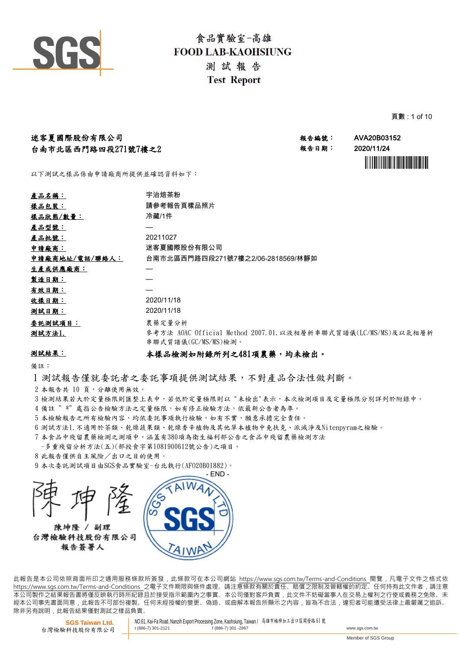

頁數 : 1 of 10

| 迷客夏國際股份有限公司              |                                   | 報告編號: | AVA20B03152 |
|--------------------------|-----------------------------------|-------|-------------|
| 台南市北區西門路四段271號7樓之2       |                                   | 報告日期: | 2020/11/24  |
|                          |                                   |       |             |
|                          |                                   |       |             |
| 以下測試之樣品係由申請廠商所提供並確認資料如下: |                                   |       |             |
|                          |                                   |       |             |
| <u>產品名稱:</u>             | 宇治焙茶粉                             |       |             |
| 樣品包裝:                    | 請參考報告頁樣品照片                        |       |             |
| 樣品狀態/數量:                 | 冷藏/1件                             |       |             |
| 產品型號:                    |                                   |       |             |
| 產品批號:                    | 20211027                          |       |             |
| 申請廠商:                    | 迷客夏國際股份有限公司                       |       |             |
| 申請廠商地址/電話/聯絡人:           | 台南市北區西門路四段271號7樓之2/06-2818569/林靜如 |       |             |
| 生產或供應廠商:                 |                                   |       |             |

| 2020/11/18                                                                            |
|---------------------------------------------------------------------------------------|
| 2020/11/18                                                                            |
| 農藥定量分析                                                                                |
| 參考方法 AOAC Official Method 2007.01, 以液相層析串聯式質譜儀(LC/MS/MS)及以氣相層析<br>串聯式質譜儀(GC/MS/MS)檢測。 |
|                                                                                       |

### 測試結果:

.<br>bil 나 - <del>-</del> - - - - -

### 本樣品檢測如附錄所列之481項農藥,均未檢出。

備註:

- 1 測試報告僅就委託者之委託事項提供測試結果,不對產品合法性做判斷。
- 2 本報告共 10 頁,分離使用無效。
- 3 檢測結果若大於定量極限則匯整上表中,若低於定量極限則以 "未檢出"表示,本次檢測項目及定量極限分別詳列於附錄中。
- 4 備註 "\*"處指公告檢驗方法之定量極限,如有修正檢驗方法,依最新公告者為準。
- 5 本檢驗報告之所有檢驗內容,均依委託事項執行檢驗,如有不實,願意承擔完全責任。
- 6 測試方法1.不適用於茶類、乾燥蔬果類、乾燥香辛植物及其他草本植物中免扶克、派滅淨及Nitenpyram之檢驗。
- 7 本食品中殘留農藥檢測之測項中,涵蓋有380項為衛生福利部公告之食品中殘留農藥檢測方法
- -多重殘留分析方法(五)(部授食字第1081900612號公告)之項目。
- 8 此報告僅供自主風險/出口之目的使用。
- 9 本次委託測試項目由SGS食品實驗室-台北執行(AFO20B01882)。

- END - 陳坤隆 / 副理 台灣檢驗科技股份有限公司 報告簽署人

此報告是本公司依照背面所印之通用服務條款所簽發,此條款可在本公司網站 https://www.sgs.com.tw/Terms-and-Conditions 閱覽,凡電子文件之格式依 https://www.sas.com.tw/Terms-and-Conditions 之電子文件期限與條件處理。請注意條款有關於責任、賠償之限制及管轄權的約定。任何持有此文件者,請注意 本 公 司 製 作 之 結 果 報 告 書 將 僅 反 映 執 行 時 所 紀 錄 且 於 接 受 指 示 範 圍 內 之 事 實 。 本 公 司 僅 對 客 戶 負 責 , 此 文 件 不 妨 礙 當 事 人 在 交 易 上 權 利 之 行 使 或 義 務 之 免 除 。 未 經本公司事先書面同意,此報告不可部份複製。任何未經授權的變更、偽造、或曲解本報告所顯示之內容,皆為不合法,違犯者可能遭受法律上最嚴厲之追訴。 除非另有說明, 此報告結果僅對測試之樣品負責。

**SGS Taiwan Ltd.** 台灣檢驗科技股份有限公司 NO.61, Kai-Fa Road, Nanzih Export Processing Zone, Kaohsiung, Taiwan / 高雄市楠梓加工出口區開發路 <sup>61</sup> <sup>號</sup> t (886-7) 301-2121 f (886-7) 301 -2867 www.sgs.com.tw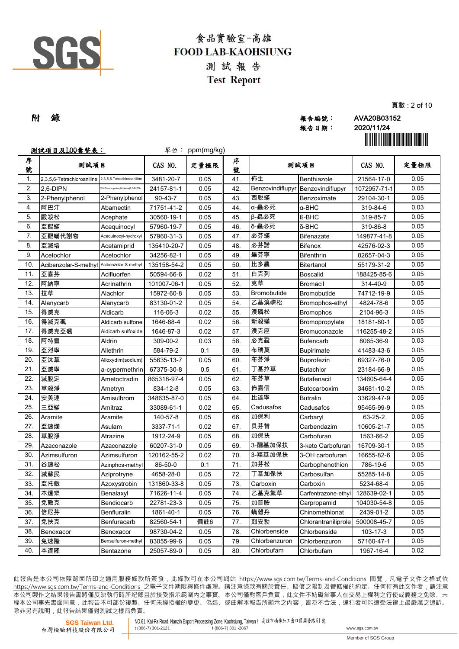

|     |       | 貝                                      |
|-----|-------|----------------------------------------|
| 附 錄 | 報告編號: | AVA20B03152                            |
|     | 報告日期: | 2020/11/24                             |
|     |       | <u> Ali III ali III ali Ali III il</u> |

|                  | <u>測試項目及LOQ彙整表:</u>                       |                                     | 單位:           | ppm(mg/kg) |        |                  |                     |              | <u> Hill Hill Hill Hill Hill Hill</u> |
|------------------|-------------------------------------------|-------------------------------------|---------------|------------|--------|------------------|---------------------|--------------|---------------------------------------|
| 序<br>號           | 测試項目                                      |                                     | CAS NO.       | 定量極限       | 序<br>號 |                  | 测試項目                | CAS NO.      | 定量極限                                  |
| $\overline{1}$ . | 2.3.5.6-Tetrachloroaniline                | 2,3,5,6-Tetrachloroaniline          | 3481-20-7     | 0.05       | 41.    | 佈生               | Benthiazole         | 21564-17-0   | 0.05                                  |
| $\overline{2}$   | 2.6-DIPN                                  | .6-Diisopropylnaphthalene(2,6-DIPN) | 24157-81-1    | 0.05       | 42.    | Benzovindiflupyr | Benzovindiflupyr    | 1072957-71-1 | 0.05                                  |
| 3.               | 2-Phenylphenol                            | 2-Phenylphenol                      | $90 - 43 - 7$ | 0.05       | 43.    | 西脱蟎              | Benzoximate         | 29104-30-1   | 0.05                                  |
| $\overline{4}$ . | 阿巴汀                                       | Abamectin                           | 71751-41-2    | 0.05       | 44.    | α-蟲必死            | $\alpha$ -BHC       | 319-84-6     | 0.03                                  |
| $\overline{5}$   | 毆殺松                                       | Acephate                            | 30560-19-1    | 0.05       | 45.    | β-蟲必死            | <b>ß-BHC</b>        | 319-85-7     | 0.05                                  |
| 6.               | 亞醌蟎                                       | Acequinocyl                         | 57960-19-7    | 0.05       | 46.    | δ-蟲必死            | δ-BHC               | 319-86-8     | 0.05                                  |
| $\overline{7}$ . | 亞醌蟎代謝物                                    | Acequinocyl-hydroxyl                | 57960-31-3    | 0.05       | 47.    | 必芬蟎              | <b>Bifenazate</b>   | 149877-41-8  | 0.05                                  |
| 8.               | 亞滅培                                       | Acetamiprid                         | 135410-20-7   | 0.05       | 48.    | 必芬諾              | <b>Bifenox</b>      | 42576-02-3   | 0.05                                  |
| 9.               | Acetochlor                                | Acetochlor                          | 34256-82-1    | 0.05       | 49.    | 畢芬寧              | <b>Bifenthrin</b>   | 82657-04-3   | 0.05                                  |
| 10.              | Acibenzolar-S-methyl Acibenzolar-S-methyl |                                     | 135158-54-2   | 0.05       | 50.    | 比多農              | Bitertanol          | 55179-31-2   | 0.05                                  |
| 11.              | 亞喜芬                                       | Acifluorfen                         | 50594-66-6    | 0.02       | 51.    | 白克列              | <b>Boscalid</b>     | 188425-85-6  | 0.05                                  |
| 12.              | 阿納寧                                       | Acrinathrin                         | 101007-06-1   | 0.05       | 52.    | 克草               | <b>Bromacil</b>     | 314-40-9     | 0.05                                  |
| 13.              | 拉草                                        | Alachlor                            | 15972-60-8    | 0.05       | 53.    | Bromobutide      | Bromobutide         | 74712-19-9   | 0.05                                  |
| 14.              | Alanycarb                                 | Alanycarb                           | 83130-01-2    | 0.05       | 54.    | 乙基溴磷松            | Bromophos-ethyl     | 4824-78-6    | 0.05                                  |
| 15.              | 得滅克                                       | Aldicarb                            | 116-06-3      | 0.02       | 55.    | 溴磷松              | <b>Bromophos</b>    | 2104-96-3    | 0.05                                  |
| 16.              | 得滅克碸                                      | Aldicarb sulfone                    | 1646-88-4     | 0.02       | 56.    | 新殺蟎              | Bromopropylate      | 18181-80-1   | 0.05                                  |
| 17.              | 得滅克亞碸                                     | Aldicarb sulfoxide                  | 1646-87-3     | 0.02       | 57.    | 溴克座              | Bromuconazole       | 116255-48-2  | 0.05                                  |
| 18.              | 阿特靈                                       | Aldrin                              | 309-00-2      | 0.03       | 58.    | 必克蝨              | <b>Bufencarb</b>    | 8065-36-9    | 0.03                                  |
| 19.              | 亞烈寧                                       | Allethrin                           | 584-79-2      | 0.1        | 59.    | 布瑞莫              | <b>Bupirimate</b>   | 41483-43-6   | 0.05                                  |
| 20.              | 亞汰草                                       | Alloxydim(sodium)                   | 55635-13-7    | 0.05       | 60.    | 布芬淨              | <b>Buprofezin</b>   | 69327-76-0   | 0.05                                  |
| 21.              | 亞滅寧                                       | a-cypermethrin                      | 67375-30-8    | 0.5        | 61.    | 丁基拉草             | <b>Butachlor</b>    | 23184-66-9   | 0.05                                  |
| 22.              | 滅脫定                                       | Ametoctradin                        | 865318-97-4   | 0.05       | 62.    | 布芬草              | <b>Butafenacil</b>  | 134605-64-4  | 0.05                                  |
| 23.              | 草殺淨                                       | Ametryn                             | 834-12-8      | 0.05       | 63.    | 佈嘉信              | Butocarboxim        | 34681-10-2   | 0.05                                  |
| 24.              | 安美速                                       | Amisulbrom                          | 348635-87-0   | 0.05       | 64.    | 比達寧              | <b>Butralin</b>     | 33629-47-9   | 0.05                                  |
| 25.              | 三亞蟎                                       | Amitraz                             | 33089-61-1    | 0.02       | 65.    | Cadusafos        | Cadusafos           | 95465-99-9   | 0.05                                  |
| 26.              | Aramite                                   | Aramite                             | 140-57-8      | 0.05       | 66.    | 加保利              | Carbaryl            | 63-25-2      | 0.05                                  |
| 27.              | 亞速爛                                       | Asulam                              | 3337-71-1     | 0.02       | 67.    | 貝芬替              | Carbendazim         | 10605-21-7   | 0.05                                  |
| 28.              | 草脫淨                                       | Atrazine                            | 1912-24-9     | 0.05       | 68.    | 加保扶              | Carbofuran          | 1563-66-2    | 0.05                                  |
| 29.              | Azaconazole                               | Azaconazole                         | 60207-31-0    | 0.05       | 69.    | 3-酮基加保扶          | 3-keto Carbofuran   | 16709-30-1   | 0.05                                  |
| 30.              | Azimsulfuron                              | Azimsulfuron                        | 120162-55-2   | 0.02       | 70.    | 3-羥基加保扶          | 3-OH carbofuran     | 16655-82-6   | 0.05                                  |
| 31.              | 谷速松                                       | Azinphos-methyl                     | 86-50-0       | 0.1        | 71.    | 加芬松              | Carbophenothion     | 786-19-6     | 0.05                                  |
| 32.              | 滅蘇民                                       | Aziprotryne                         | 4658-28-0     | 0.05       | 72.    | 丁基加保扶            | Carbosulfan         | 55285-14-8   | 0.05                                  |
| 33.              | 亞托敏                                       | Azoxystrobin                        | 131860-33-8   | 0.05       | 73.    | Carboxin         | Carboxin            | 5234-68-4    | 0.05                                  |
| 34.              | 本達樂                                       | Benalaxyl                           | 71626-11-4    | 0.05       | 74.    | 乙基克繁草            | Carfentrazone-ethyl | 128639-02-1  | 0.05                                  |
| 35.              | 免敵克                                       | Bendiocarb                          | 22781-23-3    | 0.05       | 75.    | 加普胺              | Carpropamid         | 104030-54-8  | 0.05                                  |
| 36.              | 倍尼芬                                       | Benfluralin                         | 1861-40-1     | 0.05       | 76.    | 蟎離丹              | Chinomethionat      | 2439-01-2    | 0.05                                  |
| 37.              | 免扶克                                       | Benfuracarb                         | 82560-54-1    | 備註6        | 77.    | 剋安勃              | Chlorantraniliprole | 500008-45-7  | 0.05                                  |
| 38.              | Benoxacor                                 | Benoxacor                           | 98730-04-2    | 0.05       | 78.    | Chlorbenside     | Chlorbenside        | 103-17-3     | 0.05                                  |
| 39.              | 免速隆                                       | Bensulfuron-methyl                  | 83055-99-6    | 0.05       | 79.    | Chlorbenzuron    | Chlorbenzuron       | 57160-47-1   | 0.05                                  |

此報告是本公司依照背面所印之通用服務條款所簽發,此條款可在本公司網站 https://www.sgs.com.tw/Terms-and-Conditions 閱覽,凡電子文件之格式依 https://www.sqs.com.tw/Terms-and-Conditions 之電子文件期限與條件處理。請注意條款有關於責任、賠償之限制及管轄權的約定。任何持有此文件者,請注意 本 公 司 製 作 之 結 果 報 告 書 將 僅 反 映 執 行 時 所 紀 錄 且 於 接 受 指 示 範 圍 內 之 事 實 。 本 公 司 僅 對 客 戶 負 責 , 此 文 件 不 妨 礙 當 事 人 在 交 易 上 權 利 之 行 使 或 義 務 之 免 除 。 未 經 本 公 司 事 先 書 面 同 意 , 此 報 告 不 可 部 份 複 製 。 任 何 未 經 授 權 的 變 更 、 偽 造 、 或 曲 解 本 報 告 所 顯 示 之 內 容 , 皆 為 不 合 法 , 違 犯 者 可 能 遭 受 法 律 上 最 嚴 厲 之 追 訴 。 除非另有說明, 此報告結果僅對測試之樣品負責。

Chlorbufam

**本達隆 Bentazone 25057-89-0 0.05 80. Chlorbufam Chlorbufam 1967-16-4** 

**SGS Taiwan Ltd.** 台灣檢驗科技股份有限公司

40.

NO.61, Kai-Fa Road, Nanzih Export Processing Zone, Kaohsiung, Taiwan / 高雄市楠梓加工出口區開發路 <sup>61</sup> <sup>號</sup> t (886-7) 301 -2867 www.sgs.com.tw

Member of SGS Group

0.02

頁數 : 2 of 10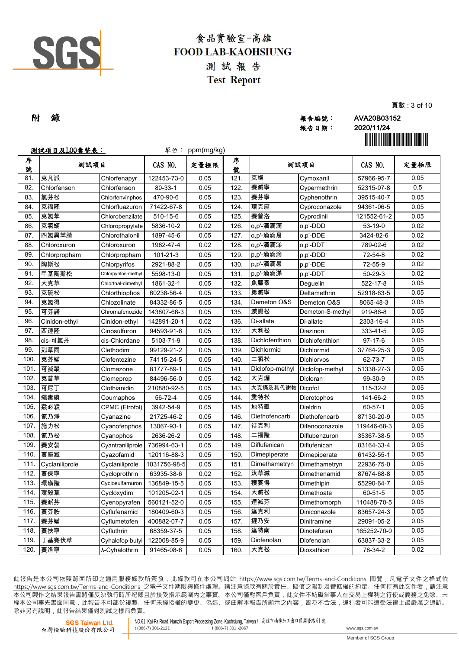

|     |       | ~~          |
|-----|-------|-------------|
| 附 錄 | 報告編號: | AVA20B03152 |
|     | 報告日期: | 2020/11/24  |
|     |       |             |

報告日期: 2020/11/24

頁數 : 3 of 10

|        | <u>測試項目及LOQ彙整表:</u> |                     |               | 單位: ppm(mg/kg) |        |                 |                   |             |      |
|--------|---------------------|---------------------|---------------|----------------|--------|-----------------|-------------------|-------------|------|
| 序<br>號 | 测試項目                |                     | CAS NO.       | 定量極限           | 序<br>號 |                 | 测試項目              | CAS NO.     | 定量極限 |
| 81.    | 克凡派                 | Chlorfenapyr        | 122453-73-0   | 0.05           | 121.   | 克絕              | Cymoxanil         | 57966-95-7  | 0.05 |
| 82.    | Chlorfenson         | Chlorfenson         | $80 - 33 - 1$ | 0.05           | 122.   | 賽滅寧             | Cypermethrin      | 52315-07-8  | 0.5  |
| 83.    | 氯芬松                 | Chlorfenvinphos     | 470-90-6      | 0.05           | 123.   | 賽芬寧             | Cyphenothrin      | 39515-40-7  | 0.05 |
| 84.    | 克福隆                 | Chlorfluazuron      | 71422-67-8    | 0.05           | 124.   | 環克座             | Cyproconazole     | 94361-06-5  | 0.05 |
| 85.    | 克氯苯                 | Chlorobenzilate     | 510-15-6      | 0.05           | 125.   | 賽普洛             | Cyprodinil        | 121552-61-2 | 0.05 |
| 86.    | 克氯蟎                 | Chloropropylate     | 5836-10-2     | 0.02           | 126.   | o,p'-滴滴滴        | o,p'-DDD          | 53-19-0     | 0.02 |
| 87.    | 四氯異苯腈               | Chlorothalonil      | 1897-45-6     | 0.05           | 127.   | o,p'-滴滴易        | o,p'-DDE          | 3424-82-6   | 0.02 |
| 88.    | Chloroxuron         | Chloroxuron         | 1982-47-4     | 0.02           | 128.   | o,p'-滴滴涕        | o,p'-DDT          | 789-02-6    | 0.02 |
| 89.    | Chlorpropham        | Chlorpropham        | 101-21-3      | 0.05           | 129.   | p,p'-滴滴滴        | p,p'-DDD          | 72-54-8     | 0.02 |
| 90.    | 陶斯松                 | Chlorpyrifos        | 2921-88-2     | 0.05           | 130.   | p,p'-滴滴易        | p,p'-DDE          | 72-55-9     | 0.02 |
| 91.    | 甲基陶斯松               | Chlorpyrifos-methyl | 5598-13-0     | 0.05           | 131.   | p,p'-滴滴涕        | p,p'-DDT          | $50-29-3$   | 0.02 |
| 92.    | 大克草                 | Chlorthal-dimethyl  | 1861-32-1     | 0.05           | 132.   | 魚藤素             | Deguelin          | 522-17-8    | 0.05 |
| 93.    | 克硫松                 | Chlorthiophos       | 60238-56-4    | 0.05           | 133.   | 第滅寧             | Deltamethrin      | 52918-63-5  | 0.05 |
| 94.    | 克氯得                 | Chlozolinate        | 84332-86-5    | 0.05           | 134.   | Demeton O&S     | Demeton O&S       | 8065-48-3   | 0.05 |
| 95.    | 可芬諾                 | Chromafenozide      | 143807-66-3   | 0.05           | 135.   | 滅賜松             | Demeton-S-methyl  | 919-86-8    | 0.05 |
| 96.    | Cinidon-ethyl       | Cinidon-ethyl       | 142891-20-1   | 0.02           | 136.   | Di-allate       | Di-allate         | 2303-16-4   | 0.05 |
| 97.    | 西速隆                 | Cinosulfuron        | 94593-91-6    | 0.05           | 137.   | 大利松             | Diazinon          | 333-41-5    | 0.05 |
| 98.    | cis-可氯丹             | cis-Chlordane       | 5103-71-9     | 0.05           | 138.   | Dichlofenthion  | Dichlofenthion    | $97-17-6$   | 0.05 |
| 99.    | 剋草同                 | Clethodim           | 99129-21-2    | 0.05           | 139.   | Dichlormid      | Dichlormid        | 37764-25-3  | 0.05 |
| 100    | 克芬蟎                 | Clofentezine        | 74115-24-5    | 0.05           | 140.   | 二氯松             | <b>Dichlorvos</b> | 62-73-7     | 0.05 |
| 101    | 可滅蹤                 | Clomazone           | 81777-89-1    | 0.05           | 141.   | Diclofop-methyl | Diclofop-methyl   | 51338-27-3  | 0.05 |
| 102.   | 克普草                 | Clomeprop           | 84496-56-0    | 0.05           | 142.   | 大克爛             | Dicloran          | 99-30-9     | 0.05 |
| 103.   | 可尼丁                 | Clothianidin        | 210880-92-5   | 0.05           | 143.   | 大克蟎及其代謝物        | Dicofol           | 115-32-2    | 0.05 |
| 104.   | 蠅毒磷                 | Coumaphos           | 56-72-4       | 0.05           | 144.   | 雙特松             | Dicrotophos       | 141-66-2    | 0.05 |
| 105.   | 蝨必殺                 | CPMC (Etrofol)      | 3942-54-9     | 0.05           | 145.   | 地特靈             | <b>Dieldrin</b>   | 60-57-1     | 0.05 |
| 106.   | 氰乃淨                 | Cyanazine           | 21725-46-2    | 0.05           | 146.   | Diethofencarb   | Diethofencarb     | 87130-20-9  | 0.05 |
| 107.   | 施力松                 | Cyanofenphos        | 13067-93-1    | 0.05           | 147.   | 待克利             | Difenoconazole    | 119446-68-3 | 0.05 |
| 108.   | 氰乃松                 | Cvanophos           | 2636-26-2     | 0.05           | 148.   | 二福隆             | Diflubenzuron     | 35367-38-5  | 0.05 |
| 109.   | 賽安勃                 | Cyantraniliprole    | 736994-63-1   | 0.05           | 149.   | Diflufenican    | Diflufenican      | 83164-33-4  | 0.05 |
| 110    | 賽座滅                 | Cyazofamid          | 120116-88-3   | 0.05           | 150.   | Dimepiperate    | Dimepiperate      | 61432-55-1  | 0.05 |
| 111.   | Cyclaniliprole      | Cyclaniliprole      | 1031756-98-5  | 0.05           | 151.   | Dimethametryn   | Dimethametryn     | 22936-75-0  | 0.05 |
| 112.   | 賽保寧                 | Cycloprothrin       | 63935-38-6    | 0.02           | 152.   | 汰草滅             | Dimethenamid      | 87674-68-8  | 0.05 |
| 113.   | 環磺隆                 | Cyclosulfamuron     | 136849-15-5   | 0.05           | 153.   | 穫萎得             | Dimethipin        | 55290-64-7  | 0.05 |
| 114.   | 環殺草                 | Cycloxydim          | 101205-02-1   | 0.05           | 154.   | 大滅松             | Dimethoate        | 60-51-5     | 0.05 |
| 115.   | 賽派芬                 | Cyenopyrafen        | 560121-52-0   | 0.05           | 155.   | 達滅芬             | Dimethomorph      | 110488-70-5 | 0.05 |
| 116.   | 賽芬胺                 | Cyflufenamid        | 180409-60-3   | 0.05           | 156.   | 達克利             | Diniconazole      | 83657-24-3  | 0.05 |
| 117.   | 賽芬蟎                 | Cyflumetofen        | 400882-07-7   | 0.05           | 157.   | 撻乃安             | Dinitramine       | 29091-05-2  | 0.05 |
| 118.   | 賽扶寧                 | Cyfluthrin          | 68359-37-5    | 0.05           | 158.   | 達特南             | Dinotefuran       | 165252-70-0 | 0.05 |
| 119.   | 丁基賽伏草               | Cyhalofop-butyl     | 122008-85-9   | 0.05           | 159.   | Diofenolan      | Diofenolan        | 63837-33-2  | 0.05 |
| 120.   | 賽洛寧                 | λ-Cyhalothrin       | 91465-08-6    | 0.05           | 160.   | 大克松             | Dioxathion        | 78-34-2     | 0.02 |

此報告是本公司依照背面所印之通用服務條款所簽發,此條款可在本公司網站 https://www.sgs.com.tw/Terms-and-Conditions 閱覽,凡電子文件之格式依 https://www.sqs.com.tw/Terms-and-Conditions 之電子文件期限與條件處理。請注意條款有關於責任、賠償之限制及管轄權的約定。任何持有此文件者,請注意 本 公 司 製 作 之 結 果 報 告 書 將 僅 反 映 執 行 時 所 紀 錄 且 於 接 受 指 示 範 圍 內 之 事 實 。 本 公 司 僅 對 客 戶 負 責 , 此 文 件 不 妨 礙 當 事 人 在 交 易 上 權 利 之 行 使 或 義 務 之 免 除 。 未 經 本 公 司 事 先 書 面 同 意 , 此 報 告 不 可 部 份 複 製 。 任 何 未 經 授 權 的 變 更 、 偽 造 、 或 曲 解 本 報 告 所 顯 示 之 內 容 , 皆 為 不 合 法 , 違 犯 者 可 能 遭 受 法 律 上 最 嚴 厲 之 追 訴 。 除非另有說明, 此報告結果僅對測試之樣品負責。

**SGS Taiwan Ltd.** 台灣檢驗科技股份有限公司 NO.61, Kai-Fa Road, Nanzih Export Processing Zone, Kaohsiung, Taiwan / 高雄市楠梓加工出口區開發路 <sup>61</sup> <sup>號</sup> t  $(886-7)$  301-2867 www.sgs.com.tw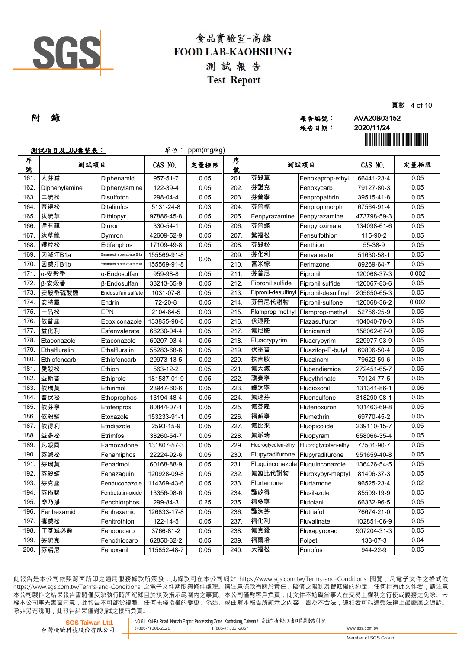

|     |       | .           |
|-----|-------|-------------|
| 附 錄 | 報告編號: | AVA20B03152 |
|     | 報告日期: | 2020/11/24  |

頁數 : 4 of 10

|        | <u>測試項目及LOQ彙整表:</u> |                        |             | 單位: ppm(mg/kg) |        |                                 |                      |             |       |
|--------|---------------------|------------------------|-------------|----------------|--------|---------------------------------|----------------------|-------------|-------|
| 序<br>號 | 测試項目                |                        | CAS NO.     | 定量極限           | 序<br>號 | 测試項目                            |                      | CAS NO.     | 定量極限  |
| 161.   | 大芬滅                 | Diphenamid             | 957-51-7    | 0.05           | 201.   | 芬殺草                             | Fenoxaprop-ethyl     | 66441-23-4  | 0.05  |
| 162    | Diphenylamine       | Diphenylamine          | 122-39-4    | 0.05           | 202.   | 芬諾克                             | Fenoxycarb           | 79127-80-3  | 0.05  |
| 163.   | 二硫松                 | Disulfoton             | 298-04-4    | 0.05           | 203.   | 芬普寧                             | Fenpropathrin        | 39515-41-8  | 0.05  |
| 164.   | 普得松                 | <b>Ditalimfos</b>      | 5131-24-8   | 0.03           | 204.   | 芬普福                             | Fenpropimorph        | 67564-91-4  | 0.05  |
| 165.   | 汰硫草                 | Dithiopyr              | 97886-45-8  | 0.05           | 205.   | Fenpyrazamine                   | Fenpyrazamine        | 473798-59-3 | 0.05  |
| 166.   | 達有龍                 | Diuron                 | 330-54-1    | 0.05           | 206.   | 芬普蟎                             | Fenpyroximate        | 134098-61-6 | 0.05  |
| 167.   | 汰草龍                 | Dymron                 | 42609-52-9  | 0.05           | 207.   | 繁福松                             | Fensulfothion        | 115-90-2    | 0.05  |
| 168.   | 護粒松                 | Edifenphos             | 17109-49-8  | 0.05           | 208.   | 芬殺松                             | Fenthion             | 55-38-9     | 0.05  |
| 169.   | 因滅汀B1a              | Emamectin benzoate B1a | 155569-91-8 | 0.05           | 209.   | 芬化利                             | Fenvalerate          | 51630-58-1  | 0.05  |
| 170.   | 因滅汀B1b              | Emamectin benzoate B1b | 155569-91-8 |                | 210.   | 富米綜                             | Ferimzone            | 89269-64-7  | 0.05  |
| 171.   | α-安殺番               | α-Endosulfan           | 959-98-8    | 0.05           | 211.   | 芬普尼                             | Fipronil             | 120068-37-3 | 0.002 |
| 172.   | β-安殺番               | <b>B-Endosulfan</b>    | 33213-65-9  | 0.05           | 212.   | Fipronil sulfide                | Fipronil sulfide     | 120067-83-6 | 0.05  |
| 173.   | 安殺番硫酸鹽              | Endosulfan sulfate     | 1031-07-8   | 0.05           | 213.   | Fipronil-desulfinyl             | Fipronil-desulfinyl  | 205650-65-3 | 0.05  |
| 174.   | 安特靈                 | Endrin                 | 72-20-8     | 0.05           | 214.   | 芬普尼代謝物                          | Fipronil-sulfone     | 120068-36-2 | 0.002 |
| 175.   | 品松                  | EPN                    | 2104-64-5   | 0.03           | 215.   | Flamprop-methyl                 | Flamprop-methyl      | 52756-25-9  | 0.05  |
| 176.   | 依普座                 | Epoxiconazole          | 133855-98-8 | 0.05           | 216.   | 伏速隆                             | Flazasulfuron        | 104040-78-0 | 0.05  |
| 177.   | 益化利                 | Esfenvalerate          | 66230-04-4  | 0.05           | 217.   | 氟尼胺                             | Flonicamid           | 158062-67-0 | 0.05  |
| 178.   | Etaconazole         | Etaconazole            | 60207-93-4  | 0.05           | 218.   | Fluacrypyrim                    | Fluacrypyrim         | 229977-93-9 | 0.05  |
| 179.   | Ethalfluralin       | Ethalfluralin          | 55283-68-6  | 0.05           | 219.   | 伏寄普                             | Fluazifop-P-butyl    | 69806-50-4  | 0.05  |
| 180.   | Ethiofencarb        | Ethiofencarb           | 29973-13-5  | 0.02           | 220.   | 扶吉胺                             | Fluazinam            | 79622-59-6  | 0.05  |
| 181.   | 愛殺松                 | Ethion                 | 563-12-2    | 0.05           | 221.   | 氟大滅                             | Flubendiamide        | 272451-65-7 | 0.05  |
| 182.   | 益斯普                 | Ethiprole              | 181587-01-9 | 0.05           | 222.   | 護賽寧                             | Flucythrinate        | 70124-77-5  | 0.05  |
| 183.   | 依瑞莫                 | Ethirimol              | 23947-60-6  | 0.05           | 223.   | 護汰寧                             | Fludioxonil          | 131341-86-1 | 0.06  |
| 184.   | 普伏松                 | Ethoprophos            | 13194-48-4  | 0.05           | 224.   | 氟速芬                             | Fluensulfone         | 318290-98-1 | 0.05  |
| 185    | 依芬寧                 | Etofenprox             | 80844-07-1  | 0.05           | 225.   | 氟芬隆                             | Flufenoxuron         | 101463-69-8 | 0.05  |
| 186    | 依殺蟎                 | Etoxazole              | 153233-91-1 | 0.05           | 226.   | 福滅寧                             | Flumethrin           | 69770-45-2  | 0.05  |
| 187    | 依得利                 | Etridiazole            | 2593-15-9   | 0.05           | 227.   | 氟比來                             | Fluopicolide         | 239110-15-7 | 0.05  |
| 188.   | 益多松                 | Etrimfos               | 38260-54-7  | 0.05           | 228.   | 氟派瑞                             | Fluopyram            | 658066-35-4 | 0.05  |
| 189.   | 凡殺同                 | Famoxadone             | 131807-57-3 | 0.05           | 229.   | Fluoroglycofen-ethyl            | Fluoroglycofen-ethyl | 77501-90-7  | 0.05  |
| 190    | 芬滅松                 | Fenamiphos             | 22224-92-6  | 0.05           | 230.   | Flupyradifurone                 | Flupyradifurone      | 951659-40-8 | 0.05  |
| 191.   | 芬瑞莫                 | Fenarimol              | 60168-88-9  | 0.05           | 231.   | Fluquinconazole Fluquinconazole |                      | 136426-54-5 | 0.05  |
| 192.   | 芬殺蟎                 | Fenazaquin             | 120928-09-8 | 0.05           | 232.   | 氟氯比代謝物                          | Fluroxypyr-meptyl    | 81406-37-3  | 0.05  |
| 193.   | 芬克座                 | Fenbuconazole          | 114369-43-6 | 0.05           | 233.   | Flurtamone                      | Flurtamone           | 96525-23-4  | 0.02  |
| 194.   | 芬佈賜                 | Fenbutatin-oxide       | 13356-08-6  | 0.05           | 234.   | 護矽得                             | Flusilazole          | 85509-19-9  | 0.05  |
| 195.   | 樂乃淨                 | Fenchlorphos           | 299-84-3    | 0.25           | 235.   | 福多寧                             | Flutolanil           | 66332-96-5  | 0.05  |
| 196.   | Fenhexamid          | Fenhexamid             | 126833-17-8 | 0.05           | 236.   | 護汰芬                             | Flutriafol           | 76674-21-0  | 0.05  |
| 197.   | 撲滅松                 | Fenitrothion           | 122-14-5    | 0.05           | 237.   | 福化利                             | Fluvalinate          | 102851-06-9 | 0.05  |
| 198.   | 丁基滅必蝨               | Fenobucarb             | 3766-81-2   | 0.05           | 238.   | 氟克殺                             | Fluxapyroxad         | 907204-31-3 | 0.05  |
| 199.   | 芬硫克                 | Fenothiocarb           | 62850-32-2  | 0.05           | 239.   | 福爾培                             | Folpet               | 133-07-3    | 0.04  |
| 200.   | 芬諾尼                 | Fenoxanil              | 115852-48-7 | 0.05           | 240.   | 大福松                             | Fonofos              | 944-22-9    | 0.05  |

此報告是本公司依照背面所印之通用服務條款所簽發,此條款可在本公司網站 https://www.sgs.com.tw/Terms-and-Conditions 閱覽,凡電子文件之格式依 https://www.sqs.com.tw/Terms-and-Conditions 之電子文件期限與條件處理。請注意條款有關於責任、賠償之限制及管轄權的約定。任何持有此文件者,請注意 本 公 司 製 作 之 結 果 報 告 書 將 僅 反 映 執 行 時 所 紀 錄 且 於 接 受 指 示 範 圍 內 之 事 實 。 本 公 司 僅 對 客 戶 負 責 , 此 文 件 不 妨 礙 當 事 人 在 交 易 上 權 利 之 行 使 或 義 務 之 免 除 。 未 經 本 公 司 事 先 書 面 同 意 , 此 報 告 不 可 部 份 複 製 。 任 何 未 經 授 權 的 變 更 、 偽 造 、 或 曲 解 本 報 告 所 顯 示 之 內 容 , 皆 為 不 合 法 , 違 犯 者 可 能 遭 受 法 律 上 最 嚴 厲 之 追 訴 。 除非另有說明, 此報告結果僅對測試之樣品負責。

**SGS Taiwan Ltd.** 台灣檢驗科技股份有限公司 NO.61, Kai-Fa Road, Nanzih Export Processing Zone, Kaohsiung, Taiwan / 高雄市楠梓加工出口區開發路 <sup>61</sup> <sup>號</sup> t  $(886-7)$  301-2867 www.sgs.com.tw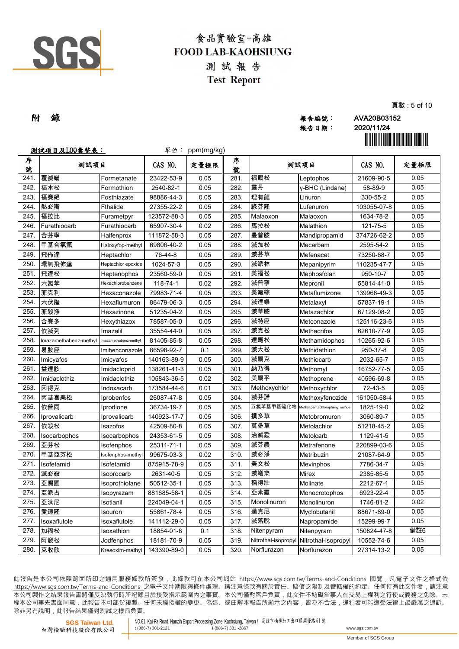

|     |       | 只:          |
|-----|-------|-------------|
| 附 錄 | 報告編號: | AVA20B03152 |
|     | 報告日期: | 2020/11/24  |

頁數 : 5 of 10

|        | <u>测試項目及LOQ彙整表:</u>   |                       |             | 單位: ppm(mg/kg) |        |                     |                                  |             |      |
|--------|-----------------------|-----------------------|-------------|----------------|--------|---------------------|----------------------------------|-------------|------|
| 序<br>號 | 测試項目                  |                       | CAS NO.     | 定量極限           | 序<br>號 | 测試項目                |                                  | CAS NO.     | 定量極限 |
| 241.   | 覆滅蟎                   | Formetanate           | 23422-53-9  | 0.05           | 281.   | 福賜松                 | Leptophos                        | 21609-90-5  | 0.05 |
| 242.   | 福木松                   | Formothion            | 2540-82-1   | 0.05           | 282.   | 靈丹                  | y-BHC (Lindane)                  | 58-89-9     | 0.05 |
| 243.   | 福賽絕                   | Fosthiazate           | 98886-44-3  | 0.05           | 283.   | 理有龍                 | Linuron                          | 330-55-2    | 0.05 |
| 244.   | 熱必斯                   | Fthalide              | 27355-22-2  | 0.05           | 284.   | 祿芬隆                 | Lufenuron                        | 103055-07-8 | 0.05 |
| 245.   | 福拉比                   | Furametpyr            | 123572-88-3 | 0.05           | 285.   | Malaoxon            | Malaoxon                         | 1634-78-2   | 0.05 |
| 246.   | Furathiocarb          | Furathiocarb          | 65907-30-4  | 0.02           | 286.   | 馬拉松                 | Malathion                        | 121-75-5    | 0.05 |
| 247.   | 合芬寧                   | Halfenprox            | 111872-58-3 | 0.05           | 287.   | 曼普胺                 | Mandipropamid                    | 374726-62-2 | 0.05 |
| 248.   | 甲基合氯氟                 | Haloxyfop-methyl      | 69806-40-2  | 0.05           | 288.   | 滅加松                 | Mecarbam                         | 2595-54-2   | 0.05 |
| 249.   | 飛佈達                   | Heptachlor            | 76-44-8     | 0.05           | 289.   | 滅芬草                 | Mefenacet                        | 73250-68-7  | 0.05 |
| 250.   | 環氧飛佈達                 | Heptachlor epoxide    | 1024-57-3   | 0.05           | 290.   | 滅派林                 | Mepanipyrim                      | 110235-47-7 | 0.05 |
| 251.   | 飛達松                   | Heptenophos           | 23560-59-0  | 0.05           | 291.   | 美福松                 | Mephosfolan                      | 950-10-7    | 0.05 |
| 252.   | 六氯苯                   | Hexachlorobenzene     | 118-74-1    | 0.02           | 292.   | 滅普寧                 | Mepronil                         | 55814-41-0  | 0.05 |
| 253.   | 菲克利                   | Hexaconazole          | 79983-71-4  | 0.05           | 293.   | 美氟綜                 | Metaflumizone                    | 139968-49-3 | 0.05 |
| 254.   | 六伏隆                   | Hexaflumuron          | 86479-06-3  | 0.05           | 294.   | 滅達樂                 | Metalaxyl                        | 57837-19-1  | 0.05 |
| 255.   | 菲殺淨                   | Hexazinone            | 51235-04-2  | 0.05           | 295.   | 滅草胺                 | Metazachlor                      | 67129-08-2  | 0.05 |
| 256.   | 合賽多                   | Hexythiazox           | 78587-05-0  | 0.05           | 296.   | 滅特座                 | Metconazole                      | 125116-23-6 | 0.05 |
| 257.   | 依滅列                   | Imazalil              | 35554-44-0  | 0.05           | 297.   | 滅克松                 | <b>Methacrifos</b>               | 62610-77-9  | 0.05 |
| 258.   | Imazamethabenz-methyl | Imazamethabenz-methyl | 81405-85-8  | 0.05           | 298.   | 達馬松                 | Methamidophos                    | 10265-92-6  | 0.05 |
| 259    | 易胺座                   | Imibenconazole        | 86598-92-7  | 0.1            | 299.   | 滅大松                 | Methidathion                     | 950-37-8    | 0.05 |
| 260.   | Imicyafos             | Imicyafos             | 140163-89-9 | 0.05           | 300.   | 滅賜克                 | Methiocarb                       | 2032-65-7   | 0.05 |
| 261.   | 益達胺                   | Imidacloprid          | 138261-41-3 | 0.05           | 301.   | 納乃得                 | Methomyl                         | 16752-77-5  | 0.05 |
| 262.   | Imidaclothiz          | Imidaclothiz          | 105843-36-5 | 0.02           | 302.   | 美賜平                 | Methoprene                       | 40596-69-8  | 0.05 |
| 263.   | 因得克                   | Indoxacarb            | 173584-44-6 | 0.01           | 303.   | Methoxychlor        | Methoxychlor                     | 72-43-5     | 0.05 |
| 264.   | 丙基喜樂松                 | Iprobenfos            | 26087-47-8  | 0.05           | 304.   | 滅芬諾                 | Methoxyfenozide                  | 161050-58-4 | 0.05 |
| 265.   | 依普同                   | Iprodione             | 36734-19-7  | 0.05           | 305.   | 五氯苯基甲基硫化物           | Methyl pentachlorophenyl sulfide | 1825-19-0   | 0.02 |
| 266.   | Iprovalicarb          | Iprovalicarb          | 140923-17-7 | 0.05           | 306.   | 撲多草                 | Metobromuron                     | 3060-89-7   | 0.05 |
| 267.   | 依殺松                   | Isazofos              | 42509-80-8  | 0.05           | 307.   | 莫多草                 | Metolachlor                      | 51218-45-2  | 0.05 |
| 268.   | Isocarbophos          | Isocarbophos          | 24353-61-5  | 0.05           | 308.   | 治滅蝨                 | Metolcarb                        | 1129-41-5   | 0.05 |
| 269.   | 亞芬松                   | Isofenphos            | 25311-71-1  | 0.05           | 309.   | 滅芬農                 | Metrafenone                      | 220899-03-6 | 0.05 |
| 270.   | 甲基亞芬松                 | sofenphos-methyl      | 99675-03-3  | 0.02           | 310.   | 滅必淨                 | Metribuzin                       | 21087-64-9  | 0.05 |
| 271.   | Isofetamid            | Isofetamid            | 875915-78-9 | 0.05           | 311.   | 美文松                 | Mevinphos                        | 7786-34-7   | 0.05 |
| 272.   | 滅必蝨                   | Isoprocarb            | 2631-40-5   | 0.05           | 312.   | 滅蟻樂                 | Mirex                            | 2385-85-5   | 0.05 |
| 273.   | 亞賜圃                   | Isoprothiolane        | 50512-35-1  | 0.05           | 313.   | 稻得壯                 | Molinate                         | 2212-67-1   | 0.05 |
| 274.   | 亞派占                   | Isopyrazam            | 881685-58-1 | 0.05           | 314.   | 亞素靈                 | Monocrotophos                    | 6923-22-4   | 0.05 |
| 275.   | 亞汰尼                   | Isotianil             | 224049-04-1 | 0.05           | 315.   | Monolinuron         | Monolinuron                      | 1746-81-2   | 0.02 |
| 276.   | 愛速隆                   | Isouron               | 55861-78-4  | 0.05           | 316.   | 邁克尼                 | Myclobutanil                     | 88671-89-0  | 0.05 |
| 277.   | Isoxaflutole          | Isoxaflutole          | 141112-29-0 | 0.05           | 317.   | 滅落脫                 | Napropamide                      | 15299-99-7  | 0.05 |
| 278.   | 加福松                   | Isoxathion            | 18854-01-8  | 0.1            | 318.   | Nitenpyram          | Nitenpyram                       | 150824-47-8 | 備註6  |
| 279.   | 阿發松                   | Jodfenphos            | 18181-70-9  | 0.05           | 319.   | Nitrothal-isopropyl | Nitrothal-isopropyl              | 10552-74-6  | 0.05 |
| 280.   | 克收欣                   | Kresoxim-methyl       | 143390-89-0 | 0.05           | 320.   | Norflurazon         | Norflurazon                      | 27314-13-2  | 0.05 |

此報告是本公司依照背面所印之通用服務條款所簽發,此條款可在本公司網站 https://www.sgs.com.tw/Terms-and-Conditions 閱覽,凡電子文件之格式依 https://www.sqs.com.tw/Terms-and-Conditions 之電子文件期限與條件處理。請注意條款有關於責任、賠償之限制及管轄權的約定。任何持有此文件者,請注意 本 公 司 製 作 之 結 果 報 告 書 將 僅 反 映 執 行 時 所 紀 錄 且 於 接 受 指 示 範 圍 內 之 事 實 。 本 公 司 僅 對 客 戶 負 責 , 此 文 件 不 妨 礙 當 事 人 在 交 易 上 權 利 之 行 使 或 義 務 之 免 除 。 未 經 本 公 司 事 先 書 面 同 意 , 此 報 告 不 可 部 份 複 製 。 任 何 未 經 授 權 的 變 更 、 偽 造 、 或 曲 解 本 報 告 所 顯 示 之 內 容 , 皆 為 不 合 法 , 違 犯 者 可 能 遭 受 法 律 上 最 嚴 厲 之 追 訴 。 除非另有說明, 此報告結果僅對測試之樣品負責。

**SGS Taiwan Ltd.** 台灣檢驗科技股份有限公司 NO.61, Kai-Fa Road, Nanzih Export Processing Zone, Kaohsiung, Taiwan / 高雄市楠梓加工出口區開發路 <sup>61</sup> <sup>號</sup> t  $(886-7)$  301-2867 www.sgs.com.tw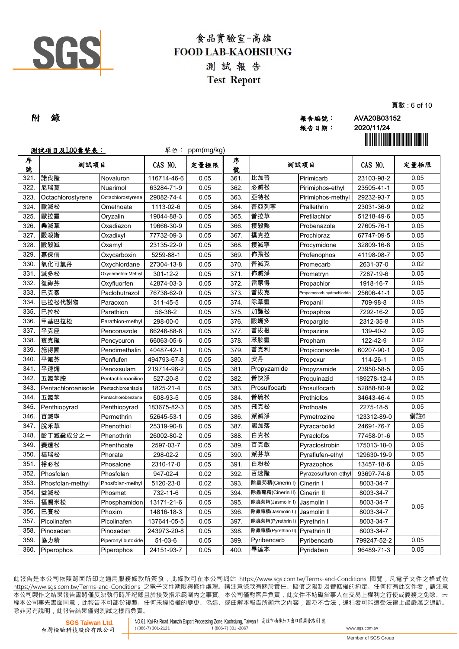

|     |       | ---         |
|-----|-------|-------------|
| 附 錄 | 報告編號: | AVA20B03152 |
|     | 報告日期: | 2020/11/24  |
|     |       |             |

報告日期: 2020/11/24

頁數 : 6 of 10

|        | <u>測試項目及LOQ彙整表:</u> |                    |                | 單位: ppm(mg/kg) |        |                    |                           |             |      |
|--------|---------------------|--------------------|----------------|----------------|--------|--------------------|---------------------------|-------------|------|
| 序<br>號 | 测試項目                |                    | CAS NO.        | 定量極限           | 序<br>號 | 测試項目               |                           | CAS NO.     | 定量極限 |
| 321.   | 諾伐隆                 | Novaluron          | 116714-46-6    | 0.05           | 361.   | 比加普                | Pirimicarb                | 23103-98-2  | 0.05 |
| 322    | 尼瑞莫                 | Nuarimol           | 63284-71-9     | 0.05           | 362.   | 必滅松                | Pirimiphos-ethyl          | 23505-41-1  | 0.05 |
| 323    | Octachlorostyrene   | Octachlorostyrene  | 29082-74-4     | 0.05           | 363.   | 亞特松                | Pirimiphos-methyl         | 29232-93-7  | 0.05 |
| 324.   | 歐滅松                 | Omethoate          | 1113-02-6      | 0.05           | 364.   | 普亞列寧               | Prallethrin               | 23031-36-9  | 0.02 |
| 325.   | 歐拉靈                 | Oryzalin           | 19044-88-3     | 0.05           | 365.   | 普拉草                | Pretilachlor              | 51218-49-6  | 0.05 |
| 326.   | 樂滅草                 | Oxadiazon          | 19666-30-9     | 0.05           | 366.   | 撲殺熱                | Probenazole               | 27605-76-1  | 0.05 |
| 327.   | 毆殺斯                 | Oxadixyl           | 77732-09-3     | 0.05           | 367.   | 撲克拉                | Prochloraz                | 67747-09-5  | 0.05 |
| 328.   | 毆殺滅                 | Oxamyl             | 23135-22-0     | 0.05           | 368.   | 撲滅寧                | Procymidone               | 32809-16-8  | 0.05 |
| 329.   | 嘉保信                 | Oxycarboxin        | 5259-88-1      | 0.05           | 369.   | 佈飛松                | Profenophos               | 41198-08-7  | 0.05 |
| 330    | 氧化可氯丹               | Oxychlordane       | 27304-13-8     | 0.05           | 370.   | 普滅克                | Promecarb                 | 2631-37-0   | 0.02 |
| 331.   | 滅多松                 | Oxydemeton-Methyl  | $301 - 12 - 2$ | 0.05           | 371.   | 佈滅淨                | Prometryn                 | 7287-19-6   | 0.05 |
| 332.   | 復祿芬                 | Oxyfluorfen        | 42874-03-3     | 0.05           | 372.   | 雷蒙得                | Propachlor                | 1918-16-7   | 0.05 |
| 333.   | 巴克素                 | Paclobutrazol      | 76738-62-0     | 0.05           | 373.   | 普拔克                | Propamocarb hydrochloride | 25606-41-1  | 0.05 |
| 334.   | 巴拉松代謝物              | Paraoxon           | 311-45-5       | 0.05           | 374.   | 除草靈                | Propanil                  | 709-98-8    | 0.05 |
| 335.   | 巴拉松                 | Parathion          | 56-38-2        | 0.05           | 375.   | 加護松                | Propaphos                 | 7292-16-2   | 0.05 |
| 336.   | 甲基巴拉松               | Parathion-methyl   | 298-00-0       | 0.05           | 376.   | 毆蟎多                | Propargite                | 2312-35-8   | 0.05 |
| 337.   | 平克座                 | Penconazole        | 66246-88-6     | 0.05           | 377.   | 普拔根                | Propazine                 | 139-40-2    | 0.05 |
| 338.   | 賓克隆                 | Pencycuron         | 66063-05-6     | 0.05           | 378.   | 苯胺靈                | Propham                   | 122-42-9    | 0.02 |
| 339.   | 施得圃                 | Pendimethalin      | 40487-42-1     | 0.05           | 379.   | 普克利                | Propiconazole             | 60207-90-1  | 0.05 |
| 340.   | 平氟芬                 | Penflufen          | 494793-67-8    | 0.05           | 380.   | 安丹                 | Propoxur                  | 114-26-1    | 0.05 |
| 341.   | 平速爛                 | Penoxsulam         | 219714-96-2    | 0.05           | 381.   | Propyzamide        | Propyzamide               | 23950-58-5  | 0.05 |
| 342.   | 五氯苯胺                | Pentachloroaniline | 527-20-8       | 0.02           | 382.   | 普快淨                | Proquinazid               | 189278-12-4 | 0.05 |
| 343.   | Pentachloroanisole  | Pentachloroanisole | 1825-21-4      | 0.05           | 383.   | Prosulfocarb       | Prosulfocarb              | 52888-80-9  | 0.02 |
| 344.   | 五氯苯                 | Pentachlorobenzene | 608-93-5       | 0.05           | 384.   | 普硫松                | Prothiofos                | 34643-46-4  | 0.05 |
| 345.   | Penthiopyrad        | Penthiopyrad       | 183675-82-3    | 0.05           | 385.   | 飛克松                | Prothoate                 | 2275-18-5   | 0.05 |
| 346.   | 百滅寧                 | Permethrin         | 52645-53-1     | 0.05           | 386.   | 派滅淨                | Pymetrozine               | 123312-89-0 | 備註6  |
| 347.   | 脫禾草                 | Phenothiol         | 25319-90-8     | 0.05           | 387.   | 賜加落                | Pyracarbolid              | 24691-76-7  | 0.05 |
| 348.   | 酚丁滅蝨成分之一            | Phenothrin         | 26002-80-2     | 0.05           | 388.   | 白克松                | Pyraclofos                | 77458-01-6  | 0.05 |
| 349.   | 賽達松                 | Phenthoate         | 2597-03-7      | 0.05           | 389.   | 百克敏                | Pyraclostrobin            | 175013-18-0 | 0.05 |
| 350.   | 福瑞松                 | Phorate            | 298-02-2       | 0.05           | 390.   | 派芬草                | Pyraflufen-ethyl          | 129630-19-9 | 0.05 |
| 351    | 裕必松                 | Phosalone          | 2310-17-0      | 0.05           | 391.   | 白粉松                | Pyrazophos                | 13457-18-6  | 0.05 |
| 352.   | Phosfolan           | Phosfolan          | 947-02-4       | 0.02           | 392.   | 百速隆                | Pyrazosulfuron-ethyl      | 93697-74-6  | 0.05 |
| 353.   | Phosfolan-methyl    | Phosfolan-methyl   | 5120-23-0      | 0.02           | 393.   | 除蟲菊精(Cinerin I)    | Cinerin I                 | 8003-34-7   |      |
| 354.   | 益滅松                 | Phosmet            | 732-11-6       | 0.05           | 394.   | 除蟲菊精(Cinerin II)   | Cinerin II                | 8003-34-7   |      |
| 355.   | 福賜米松                | Phosphamidon       | 13171-21-6     | 0.05           | 395.   | 除蟲菊精(Jasmolin I)   | Jasmolin I                | 8003-34-7   | 0.05 |
| 356.   | 巴賽松                 | Phoxim             | 14816-18-3     | 0.05           | 396.   | 除蟲菊精(Jasmolin II)  | Jasmolin II               | 8003-34-7   |      |
| 357.   | Picolinafen         | Picolinafen        | 137641-05-5    | 0.05           | 397.   | 除蟲菊精(Pyrethrin I)  | Pyrethrin I               | 8003-34-7   |      |
| 358.   | Pinoxaden           | Pinoxaden          | 243973-20-8    | 0.05           | 398.   | 除蟲菊精(Pyrethrin II) | Pyrethrin II              | 8003-34-7   |      |
| 359.   | 協力精                 | Piperonyl butoxide | $51-03-6$      | 0.05           | 399.   | Pyribencarb        | Pyribencarb               | 799247-52-2 | 0.05 |
| 360.   | Piperophos          | Piperophos         | 24151-93-7     | 0.05           | 400.   | 畢達本                | Pyridaben                 | 96489-71-3  | 0.05 |

此報告是本公司依照背面所印之通用服務條款所簽發,此條款可在本公司網站 https://www.sgs.com.tw/Terms-and-Conditions 閱覽,凡電子文件之格式依 https://www.sqs.com.tw/Terms-and-Conditions 之電子文件期限與條件處理。請注意條款有關於責任、賠償之限制及管轄權的約定。任何持有此文件者,請注意 本 公 司 製 作 之 結 果 報 告 書 將 僅 反 映 執 行 時 所 紀 錄 且 於 接 受 指 示 範 圍 內 之 事 實 。 本 公 司 僅 對 客 戶 負 責 , 此 文 件 不 妨 礙 當 事 人 在 交 易 上 權 利 之 行 使 或 義 務 之 免 除 。 未 經 本 公 司 事 先 書 面 同 意 , 此 報 告 不 可 部 份 複 製 。 任 何 未 經 授 權 的 變 更 、 偽 造 、 或 曲 解 本 報 告 所 顯 示 之 內 容 , 皆 為 不 合 法 , 違 犯 者 可 能 遭 受 法 律 上 最 嚴 厲 之 追 訴 。 除非另有說明, 此報告結果僅對測試之樣品負責。

**SGS Taiwan Ltd.** 台灣檢驗科技股份有限公司 NO.61, Kai-Fa Road, Nanzih Export Processing Zone, Kaohsiung, Taiwan / 高雄市楠梓加工出口區開發路 <sup>61</sup> <sup>號</sup> t  $(886-7)$  301-2867 www.sgs.com.tw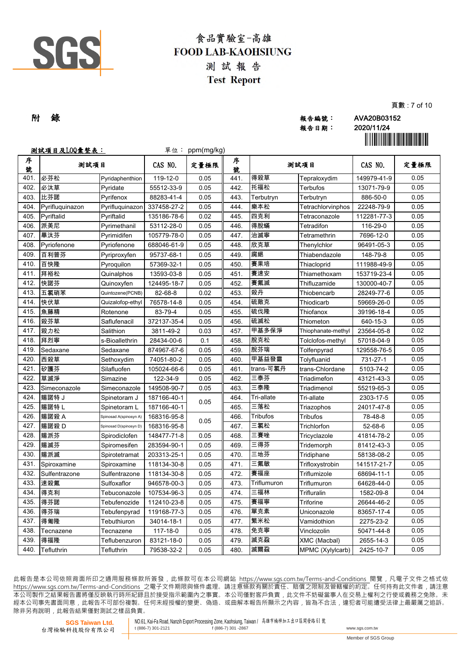

|     |       | --          |
|-----|-------|-------------|
| 附 錄 | 報告編號: | AVA20B03152 |
|     | 報告日期: | 2020/11/24  |
|     |       |             |

頁數 : 7 of 10

|        | <u>測試項目及LOQ彙整表:</u> |                        |             | 單位: ppm(mg/kg) |        |                 |                    |             |      |
|--------|---------------------|------------------------|-------------|----------------|--------|-----------------|--------------------|-------------|------|
| 序<br>號 | 测試項目                |                        | CAS NO.     | 定量極限           | 序<br>號 | 测試項目            |                    | CAS NO.     | 定量極限 |
| 401.   | 必芬松                 | Pyridaphenthion        | 119-12-0    | 0.05           | 441.   | 得殺草             | Tepraloxydim       | 149979-41-9 | 0.05 |
| 402.   | 必汰草                 | Pyridate               | 55512-33-9  | 0.05           | 442.   | 托福松             | Terbufos           | 13071-79-9  | 0.05 |
| 403.   | 比芬諾                 | Pyrifenox              | 88283-41-4  | 0.05           | 443.   | Terbutryn       | Terbutryn          | 886-50-0    | 0.05 |
| 404.   | Pyrifluquinazon     | Pyrifluquinazon        | 337458-27-2 | 0.05           | 444.   | 樂本松             | Tetrachlorvinphos  | 22248-79-9  | 0.05 |
| 405.   | Pyriftalid          | Pyriftalid             | 135186-78-6 | 0.02           | 445.   | 四克利             | Tetraconazole      | 112281-77-3 | 0.05 |
| 406.   | 派美尼                 | Pyrimethanil           | 53112-28-0  | 0.05           | 446.   | 得脫蟎             | Tetradifon         | 116-29-0    | 0.05 |
| 407.   | 畢汰芬                 | Pyrimidifen            | 105779-78-0 | 0.05           | 447.   | 治滅寧             | Tetramethrin       | 7696-12-0   | 0.05 |
| 408.   | Pyriofenone         | Pyriofenone            | 688046-61-9 | 0.05           | 448.   | 欣克草             | Thenylchlor        | 96491-05-3  | 0.05 |
| 409    | 百利普芬                | Pyriproxyfen           | 95737-68-1  | 0.05           | 449.   | 腐絕              | Thiabendazole      | 148-79-8    | 0.05 |
| 410.   | 百快隆                 | Pyroquilon             | 57369-32-1  | 0.05           | 450.   | 賽果培             | Thiacloprid        | 111988-49-9 | 0.05 |
| 411.   | 拜裕松                 | Quinalphos             | 13593-03-8  | 0.05           | 451.   | 賽速安             | Thiamethoxam       | 153719-23-4 | 0.05 |
| 412.   | 快諾芬                 | Quinoxyfen             | 124495-18-7 | 0.05           | 452.   | 賽氟滅             | Thifluzamide       | 130000-40-7 | 0.05 |
| 413.   | 五氯硝苯                | Quintozene(PCNB)       | 82-68-8     | 0.02           | 453.   | 殺丹              | Thiobencarb        | 28249-77-6  | 0.05 |
| 414.   | 快伏草                 | Quizalofop-ethyl       | 76578-14-8  | 0.05           | 454.   | 硫敵克             | Thiodicarb         | 59669-26-0  | 0.05 |
| 415.   | 魚藤精                 | Rotenone               | 83-79-4     | 0.05           | 455.   | 硫伐隆             | Thiofanox          | 39196-18-4  | 0.05 |
| 416.   | 殺芬草                 | Saflufenacil           | 372137-35-4 | 0.05           | 456.   | 硫滅松             | Thiometon          | 640-15-3    | 0.05 |
| 417.   | 殺力松                 | Salithion              | 3811-49-2   | 0.03           | 457.   | 甲基多保淨           | Thiophanate-methyl | 23564-05-8  | 0.02 |
| 418.   | 拜烈寧                 | s-Bioallethrin         | 28434-00-6  | 0.1            | 458.   | 脫克松             | Tolclofos-methyl   | 57018-04-9  | 0.05 |
| 419    | Sedaxane            | Sedaxane               | 874967-67-6 | 0.05           | 459.   | 脫芬瑞             | Tolfenpyrad        | 129558-76-5 | 0.05 |
| 420.   | 西殺草                 | Sethoxydim             | 74051-80-2  | 0.05           | 460.   | 甲基益發靈           | Tolyfluanid        | 731-27-1    | 0.05 |
| 421.   | 矽護芬                 | Silafluofen            | 105024-66-6 | 0.05           | 461.   | trans-可氯丹       | trans-Chlordane    | 5103-74-2   | 0.05 |
| 422.   | 草滅淨                 | Simazine               | 122-34-9    | 0.05           | 462.   | 三泰芬             | Triadimefon        | 43121-43-3  | 0.05 |
| 423.   | Simeconazole        | Simeconazole           | 149508-90-7 | 0.05           | 463.   | 三泰隆             | Triadimenol        | 55219-65-3  | 0.05 |
| 424.   | 賜諾特 J               | Spinetoram J           | 187166-40-1 | 0.05           | 464.   | Tri-allate      | Tri-allate         | 2303-17-5   | 0.05 |
| 425.   | 賜諾特 L               | Spinetoram L           | 187166-40-1 |                | 465.   | 三落松             | Triazophos         | 24017-47-8  | 0.05 |
| 426.   | 賜諾殺 A               | Spinosad A(spinosyn A) | 168316-95-8 | 0.05           | 466.   | <b>Tribufos</b> | Tribufos           | 78-48-8     | 0.05 |
| 427.   | 賜諾殺D                | Spinosad D(spinosyn D) | 168316-95-8 |                | 467.   | 三氯松             | Trichlorfon        | 52-68-6     | 0.05 |
| 428.   | 賜派芬                 | Spirodiclofen          | 148477-71-8 | 0.05           | 468.   | 三賽唑             | Tricyclazole       | 41814-78-2  | 0.05 |
| 429.   | 賜滅芬                 | Spiromesifen           | 283594-90-1 | 0.05           | 469.   | 三得芬             | Tridemorph         | 81412-43-3  | 0.05 |
| 430.   | 賜派滅                 | Spirotetramat          | 203313-25-1 | 0.05           | 470.   | 三地芬             | Tridiphane         | 58138-08-2  | 0.05 |
| 431    | Spiroxamine         | Spiroxamine            | 118134-30-8 | 0.05           | 471.   | 三氟敏             | Trifloxystrobin    | 141517-21-7 | 0.05 |
| 432.   | Sulfentrazone       | Sulfentrazone          | 118134-30-8 | 0.05           | 472.   | 賽福座             | Triflumizole       | 68694-11-1  | 0.05 |
| 433.   | 速殺氟                 | Sulfoxaflor            | 946578-00-3 | 0.05           | 473.   | Triflumuron     | Triflumuron        | 64628-44-0  | 0.05 |
| 434.   | 得克利                 | Tebuconazole           | 107534-96-3 | 0.05           | 474.   | 三福林             | Trifluralin        | 1582-09-8   | 0.04 |
| 435.   | 得芬諾                 | Tebufenozide           | 112410-23-8 | 0.05           | 475.   | 賽福寧             | Triforine          | 26644-46-2  | 0.05 |
| 436.   | 得芬瑞                 | Tebufenpyrad           | 119168-77-3 | 0.05           | 476.   | 單克素             | Uniconazole        | 83657-17-4  | 0.05 |
| 437.   | 得匍隆                 | Tebuthiuron            | 34014-18-1  | 0.05           | 477.   | 繁米松             | Vamidothion        | 2275-23-2   | 0.05 |
| 438.   | Tecnazene           | Tecnazene              | 117-18-0    | 0.05           | 478.   | 免克寧             | Vinclozolin        | 50471-44-8  | 0.05 |
| 439.   | 得福隆                 | Teflubenzuron          | 83121-18-0  | 0.05           | 479.   | 滅克蝨             | XMC (Macbal)       | 2655-14-3   | 0.05 |
| 440.   | Tefluthrin          | Tefluthrin             | 79538-32-2  | 0.05           | 480.   | 滅爾蝨             | MPMC (Xylylcarb)   | 2425-10-7   | 0.05 |

此報告是本公司依照背面所印之通用服務條款所簽發,此條款可在本公司網站 https://www.sgs.com.tw/Terms-and-Conditions 閱覽,凡電子文件之格式依 https://www.sqs.com.tw/Terms-and-Conditions 之電子文件期限與條件處理。請注意條款有關於責任、賠償之限制及管轄權的約定。任何持有此文件者,請注意 本 公 司 製 作 之 結 果 報 告 書 將 僅 反 映 執 行 時 所 紀 錄 且 於 接 受 指 示 範 圍 內 之 事 實 。 本 公 司 僅 對 客 戶 負 責 , 此 文 件 不 妨 礙 當 事 人 在 交 易 上 權 利 之 行 使 或 義 務 之 免 除 。 未 經 本 公 司 事 先 書 面 同 意 , 此 報 告 不 可 部 份 複 製 。 任 何 未 經 授 權 的 變 更 、 偽 造 、 或 曲 解 本 報 告 所 顯 示 之 內 容 , 皆 為 不 合 法 , 違 犯 者 可 能 遭 受 法 律 上 最 嚴 厲 之 追 訴 。 除非另有說明, 此報告結果僅對測試之樣品負責。

**SGS Taiwan Ltd.** 台灣檢驗科技股份有限公司 NO.61, Kai-Fa Road, Nanzih Export Processing Zone, Kaohsiung, Taiwan / 高雄市楠梓加工出口區開發路 <sup>61</sup> <sup>號</sup> t  $(886-7)$  301-2867 www.sgs.com.tw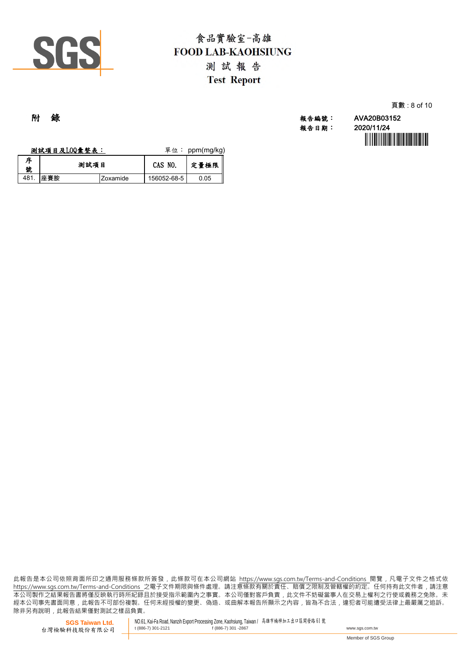

|     |  |                   | 頁數: 8 of 10 |
|-----|--|-------------------|-------------|
| 附 錄 |  | 報告編號: AVA20B03152 |             |

報告日期: 2020/11/24

|        | 测試項目及LOQ彙整表: |      |          | 單位:         | ppm(mg/kg) |
|--------|--------------|------|----------|-------------|------------|
| 序<br>號 |              | 測試項目 |          | CAS NO.     | 定量極限       |
| 481    | 座賽胺          |      | Zoxamide | 156052-68-5 | 0.05       |

此報告是本公司依照背面所印之通用服務條款所簽發,此條款可在本公司網站 https://www.sgs.com.tw/Terms-and-Conditions 閱覽,凡電子文件之格式ƙ https://www.sgs.com.tw/Terms-and-Conditions 之電子文件期限與條件處理。請注意條款有關於責任、賠償之限制及管轄權的約定。任何持有此文件者,請注意 本公司製作之結果報告書將僅反映執行時所紀錄且於接受指示範圍內之事實。本公司僅對客戶負責﹐此文件不妨礙當事人在交易上權利之行使或義務之免除。礻 經本公司事先書面同意 , 此報告不可部份複製。任何未經授權的變更、偽造、或曲解本報告所顯示之內容 , 皆為不合法 , 違犯者可能遭受法律上最嚴厲之追訴。 除非另有說明﹐此報告結果僅對測試之樣品負責。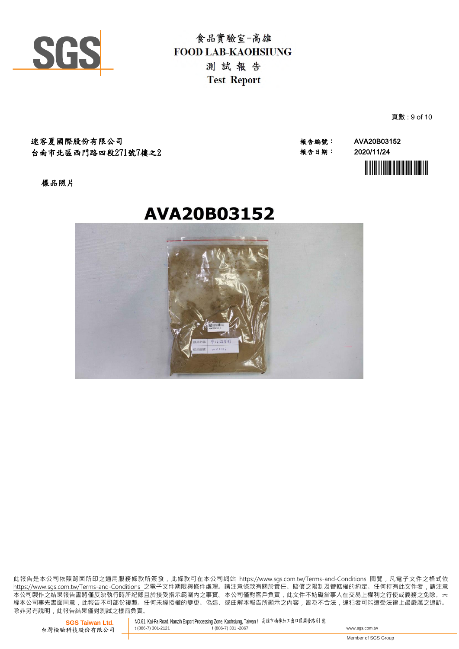

迷客夏國際股份有限公司 報告編號: AVA20B03152 台南市北區西門路四段271號7樓之2

報告日期: 2020/11/24



頁數 : 9 of 10

樣品照片

# **AVA20B03152**



此報告是本公司依照背面所印之通用服務條款所簽發,此條款可在本公司網站 https://www.sgs.com.tw/Terms-and-Conditions 閱覽,凡電子文件之格式依 https://www.sas.com.tw/Terms-and-Conditions 之電子文件期限與條件處理。請注意條款有關於責任、賠償之限制及管轄權的約定。任何持有此文件者,請注意 本 公 司 製 作 之 結 果 報 告 書 將 僅 反 映 執 行 時 所 紀 錄 且 於 接 受 指 示 範 圍 內 之 事 實 。 本 公 司 僅 對 客 戶 負 責 , 此 文 件 不 妨 礙 當 事 人 在 交 易 上 權 利 之 行 使 或 義 務 之 免 除 。 未 經 本 公 司 事 先 書 面 同 意 , 此 報 告 不 可 部 份 複 製 。 任 何 未 經 授 權 的 變 更 、 偽 造 、 或 曲 解 本 報 告 所 顯 示 之 內 容 , 皆 為 不 合 法 , 違 犯 者 可 能 遭 受 法 律 上 最 嚴 厲 之 追 訴 。 除非另有說明, 此報告結果僅對測試之樣品負責。

**SGS Taiwan Ltd.** 台灣檢驗科技股份有限公司 NO.61, Kai-Fa Road, Nanzih Export Processing Zone, Kaohsiung, Taiwan / 高雄市楠梓加工出口區開發路 <sup>61</sup> <sup>號</sup> t (886-7) 301-2121 f (886-7) 301 -2867 www.sgs.com.tw